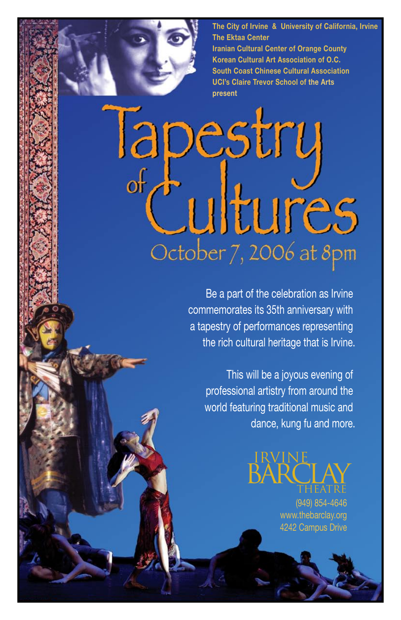**The City of Irvine & University of California, Irvine The Ektaa Center Iranian Cultural Center of Orange County Korean Cultural Art Association of O.C. South Coast Chinese Cultural Association UCI's Claire Trevor School of the Arts present**

# Tapestry Cultures October 7, 2006 at 8pm

Be a part of the celebration as Irvine commemorates its 35th anniversary with a tapestry of performances representing the rich cultural heritage that is Irvine.

This will be a joyous evening of professional artistry from around the world featuring traditional music and dance, kung fu and more.

> IRVINE **BARCLAY**

> > (949) 854-4646 www.thebarclay.org 4242 Campus Drive